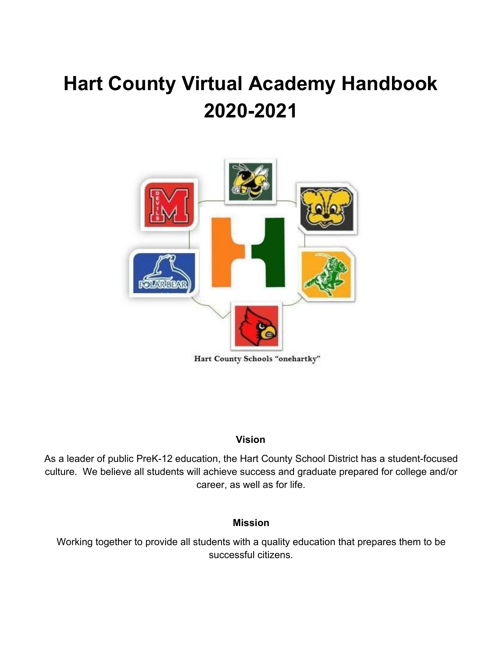# **Hart County Virtual Academy Handbook 2020-2021**



Hart County Schools "onehartky"

#### **Vision**

As a leader of public PreK-12 education, the Hart County School District has a student-focused culture. We believe all students will achieve success and graduate prepared for college and/or career, as well as for life.

#### **Mission**

Working together to provide all students with a quality education that prepares them to be successful citizens.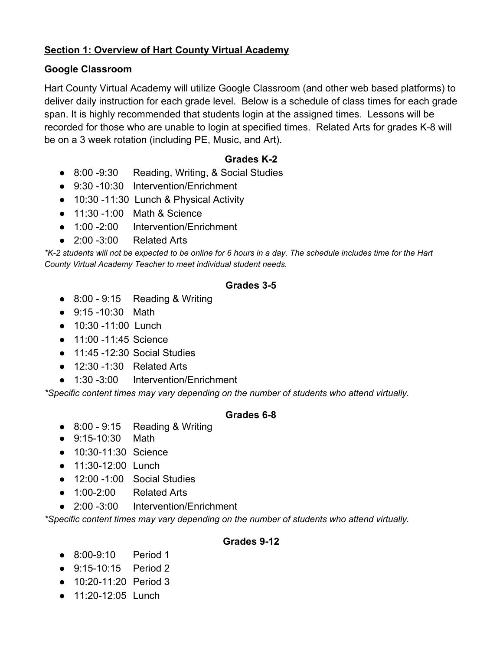## **Section 1: Overview of Hart County Virtual Academy**

## **Google Classroom**

Hart County Virtual Academy will utilize Google Classroom (and other web based platforms) to deliver daily instruction for each grade level. Below is a schedule of class times for each grade span. It is highly recommended that students login at the assigned times. Lessons will be recorded for those who are unable to login at specified times. Related Arts for grades K-8 will be on a 3 week rotation (including PE, Music, and Art).

## **Grades K-2**

- 8:00 -9:30 Reading, Writing, & Social Studies
- 9:30 -10:30 Intervention/Enrichment
- 10:30 -11:30 Lunch & Physical Activity
- 11:30 -1:00 Math & Science
- 1:00 -2:00 Intervention/Enrichment
- $\bullet$  2:00 -3:00 Related Arts

\*K-2 students will not be expected to be online for 6 hours in a day. The schedule includes time for the Hart *County Virtual Academy Teacher to meet individual student needs.*

#### **Grades 3-5**

- $\bullet$  8:00 9:15 Reading & Writing
- 9:15 -10:30 Math
- 10:30 -11:00 Lunch
- 11:00 -11:45 Science
- 11:45 -12:30 Social Studies
- 12:30 -1:30 Related Arts
- 1:30 -3:00 Intervention/Enrichment

*\*Specific content times may vary depending on the number of students who attend virtually.*

#### **Grades 6-8**

- 8:00 9:15 Reading & Writing
- 9:15-10:30 Math
- 10:30-11:30 Science
- 11:30-12:00 Lunch
- 12:00 -1:00 Social Studies
- 1:00-2:00 Related Arts
- 2:00 -3:00 Intervention/Enrichment

*\*Specific content times may vary depending on the number of students who attend virtually.*

#### **Grades 9-12**

- 8:00-9:10 Period 1
- 9:15-10:15 Period 2
- 10:20-11:20 Period 3
- 11:20-12:05 Lunch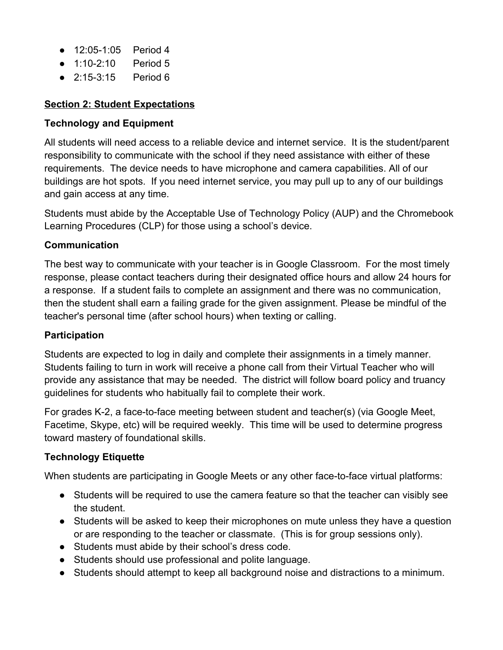- 12:05-1:05 Period 4
- 1:10-2:10 Period 5
- 2:15-3:15 Period 6

## **Section 2: Student Expectations**

## **Technology and Equipment**

All students will need access to a reliable device and internet service. It is the student/parent responsibility to communicate with the school if they need assistance with either of these requirements. The device needs to have microphone and camera capabilities. All of our buildings are hot spots. If you need internet service, you may pull up to any of our buildings and gain access at any time.

Students must abide by the Acceptable Use of Technology Policy (AUP) and the Chromebook Learning Procedures (CLP) for those using a school's device.

## **Communication**

The best way to communicate with your teacher is in Google Classroom. For the most timely response, please contact teachers during their designated office hours and allow 24 hours for a response. If a student fails to complete an assignment and there was no communication, then the student shall earn a failing grade for the given assignment. Please be mindful of the teacher's personal time (after school hours) when texting or calling.

#### **Participation**

Students are expected to log in daily and complete their assignments in a timely manner. Students failing to turn in work will receive a phone call from their Virtual Teacher who will provide any assistance that may be needed. The district will follow board policy and truancy guidelines for students who habitually fail to complete their work.

For grades K-2, a face-to-face meeting between student and teacher(s) (via Google Meet, Facetime, Skype, etc) will be required weekly. This time will be used to determine progress toward mastery of foundational skills.

## **Technology Etiquette**

When students are participating in Google Meets or any other face-to-face virtual platforms:

- Students will be required to use the camera feature so that the teacher can visibly see the student.
- Students will be asked to keep their microphones on mute unless they have a question or are responding to the teacher or classmate. (This is for group sessions only).
- Students must abide by their school's dress code.
- Students should use professional and polite language.
- Students should attempt to keep all background noise and distractions to a minimum.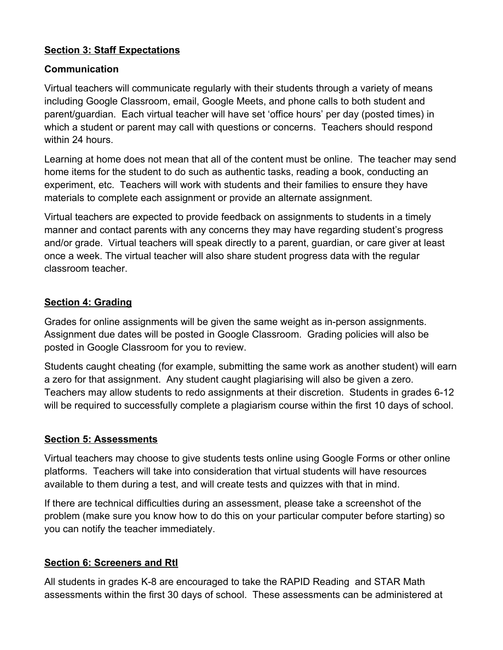## **Section 3: Staff Expectations**

## **Communication**

Virtual teachers will communicate regularly with their students through a variety of means including Google Classroom, email, Google Meets, and phone calls to both student and parent/guardian. Each virtual teacher will have set 'office hours' per day (posted times) in which a student or parent may call with questions or concerns. Teachers should respond within 24 hours.

Learning at home does not mean that all of the content must be online. The teacher may send home items for the student to do such as authentic tasks, reading a book, conducting an experiment, etc. Teachers will work with students and their families to ensure they have materials to complete each assignment or provide an alternate assignment.

Virtual teachers are expected to provide feedback on assignments to students in a timely manner and contact parents with any concerns they may have regarding student's progress and/or grade. Virtual teachers will speak directly to a parent, guardian, or care giver at least once a week. The virtual teacher will also share student progress data with the regular classroom teacher.

## **Section 4: Grading**

Grades for online assignments will be given the same weight as in-person assignments. Assignment due dates will be posted in Google Classroom. Grading policies will also be posted in Google Classroom for you to review.

Students caught cheating (for example, submitting the same work as another student) will earn a zero for that assignment. Any student caught plagiarising will also be given a zero. Teachers may allow students to redo assignments at their discretion. Students in grades 6-12 will be required to successfully complete a plagiarism course within the first 10 days of school.

## **Section 5: Assessments**

Virtual teachers may choose to give students tests online using Google Forms or other online platforms. Teachers will take into consideration that virtual students will have resources available to them during a test, and will create tests and quizzes with that in mind.

If there are technical difficulties during an assessment, please take a screenshot of the problem (make sure you know how to do this on your particular computer before starting) so you can notify the teacher immediately.

## **Section 6: Screeners and RtI**

All students in grades K-8 are encouraged to take the RAPID Reading and STAR Math assessments within the first 30 days of school. These assessments can be administered at